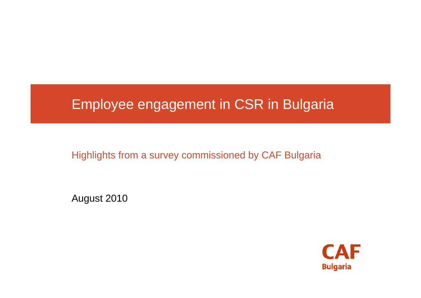### Employee engagement in CSR in Bulgaria

Highlights from a survey commissioned by CAF Bulgaria

August 2010

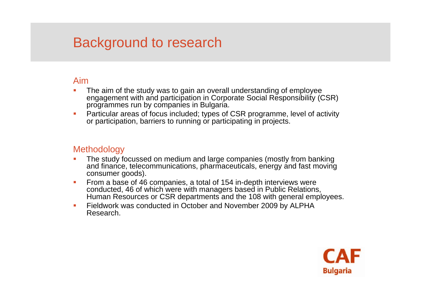## Background to research

#### Aim

- П The aim of the study was to gain an overall understanding of employee engagement with and participation in Corporate Social Responsibility (CSR) programmes run by companies in Bulgaria.
- П Particular areas of focus included; types of CSR programme, level of activity or participation, barriers to running or participating in projects.

#### **Methodology**

- П The study focussed on medium and large companies (mostly from banking and finance, telecommunications, pharmaceuticals, energy and fast moving consumer goods).
- $\mathcal{L}_{\rm{eff}}$  From a base of 46 companies, a total of 154 in-depth interviews were conducted, 46 of which were with managers based in Public Relations, Human Resources or CSR departments and the 108 with general employees.
- П Fieldwork was conducted in October and November 2009 by ALPHA Research.

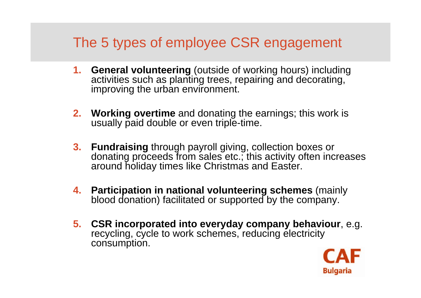# The 5 types of employee CSR engagement

- **1. General volunteering** (outside of working hours) including activities such as planting trees, repairing and decorating, improving the urban environment.
- **2. Working overtime** and donating the earnings; this work is usually paid double or even triple-time.
- **3. Fundraising** through payroll giving, collection boxes or donating proceeds from sales etc.; this activity often increases around holiday times like Christmas and Easter.
- **4. Participation in national volunteering schemes** (mainly blood donation) facilitated or supported by the company.
- **5. CSR incorporated into everyday company behaviour**, e.g. recycling, cycle to work schemes, reducing electricity consumption.

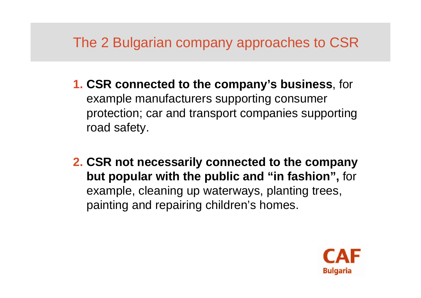# The 2 Bulgarian company approaches to CSR

- **1. CSR connected to the company's business**, for example manufacturers supporting consumer protection; car and transport companies supporting road safety.
- **2. CSR not necessarily connected to the company but popular with the public and "in fashion",** for example, cleaning up waterways, planting trees, painting and repairing children's homes.

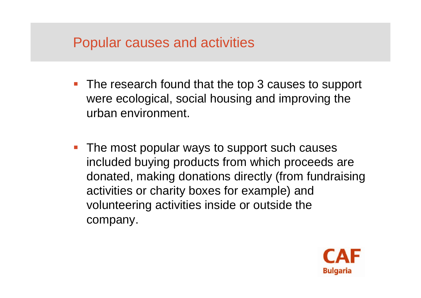### Popular causes and activities

- **The research found that the top 3 causes to support** were ecological, social housing and improving the urban environment.
- **The most popular ways to support such causes** included buying products from which proceeds are donated, making donations directly (from fundraising activities or charity boxes for example) and volunteering activities inside or outside the company.

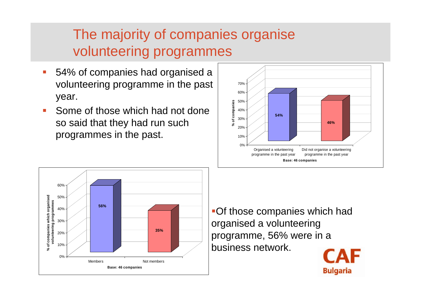# The majority of companies organise volunteering programmes

- T. 54% of companies had organised a volunteering programme in the past year.
- T. Some of those which had not done so said that they had run such programmes in the past.





Of those companies which had organised a volunteering programme, 56% were in a business network.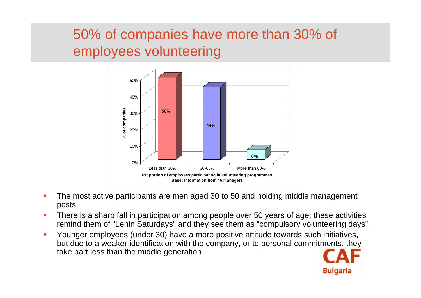# 50% of companies have more than 30% of employees volunteering



- Г The most active participants are men aged 30 to 50 and holding middle management posts.
- There is a sharp fall in participation among people over 50 years of age; these activities remind them of "Lenin Saturdays" and they see them as "compulsory volunteering days".
- Г Younger employees (under 30) have a more positive attitude towards such initiatives, but due to a weaker identification with the company, or to personal commitments, they take part less than the middle generation.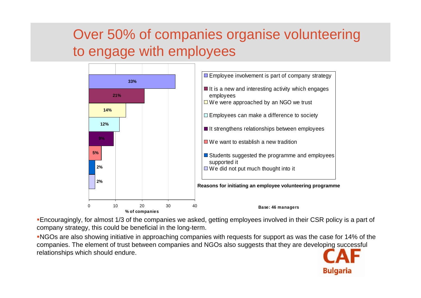# Over 50% of companies organise volunteering to engage with employees



Encouragingly, for almost 1/3 of the companies we asked, getting employees involved in their CSR policy is a part of company strategy, this could be beneficial in the long-term.

NGOs are also showing initiative in approaching companies with requests for support as was the case for 14% of the companies. The element of trust between companies and NGOs also suggests that they are developing successful relationships which should endure.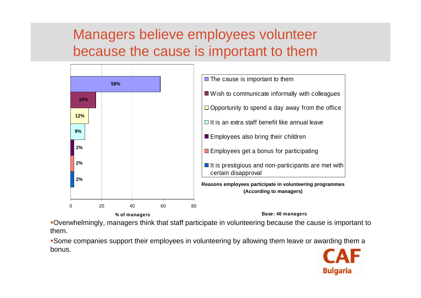## Managers believe employees volunteer because the cause is important to them



Overwhelmingly, managers think that staff participate in volunteering because the cause is important to them.

Some companies support their employees in volunteering by allowing them leave or awarding them a bonus.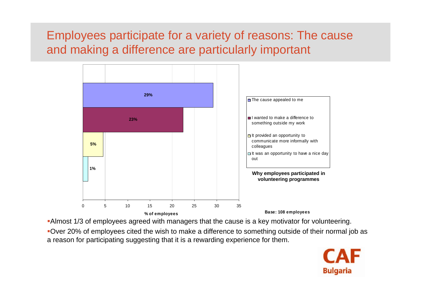#### Employees participate for a variety of reasons: The cause and making a difference are particularly important



Almost 1/3 of employees agreed with managers that the cause is a key motivator for volunteering.

Over 20% of employees cited the wish to make a difference to something outside of their normal job as a reason for participating suggesting that it is a rewarding experience for them.

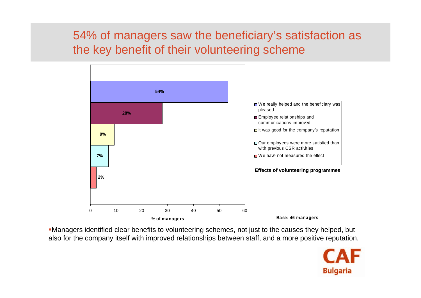#### 54% of managers saw the beneficiary's satisfaction as the key benefit of their volunteering scheme



Managers identified clear benefits to volunteering schemes, not just to the causes they helped, but also for the company itself with improved relationships between staff, and a more positive reputation.

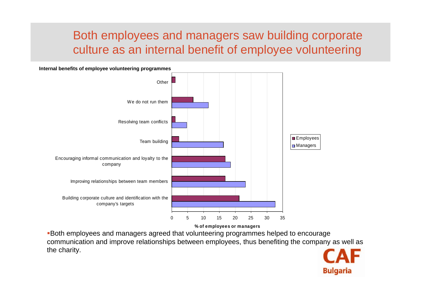#### Both employees and managers saw building corporate culture as an internal benefit of employee volunteering

**Internal benefits of employee volunteering programmes**



Both employees and managers agreed that volunteering programmes helped to encourage communication and improve relationships between employees, thus benefiting the company as well as the charity.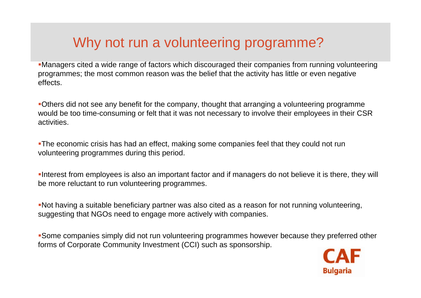# Why not run a volunteering programme?

Managers cited a wide range of factors which discouraged their companies from running volunteering programmes; the most common reason was the belief that the activity has little or even negative effects.

Others did not see any benefit for the company, thought that arranging a volunteering programme would be too time-consuming or felt that it was not necessary to involve their employees in their CSR activities.

The economic crisis has had an effect, making some companies feel that they could not run volunteering programmes during this period.

Interest from employees is also an important factor and if managers do not believe it is there, they will be more reluctant to run volunteering programmes.

Not having a suitable beneficiary partner was also cited as a reason for not running volunteering, suggesting that NGOs need to engage more actively with companies.

Some companies simply did not run volunteering programmes however because they preferred other forms of Corporate Community Investment (CCI) such as sponsorship.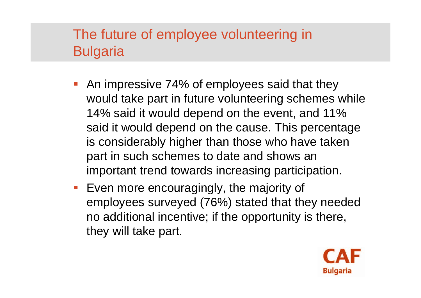# The future of employee volunteering in **Bulgaria**

- **An impressive 74% of employees said that they** would take part in future volunteering schemes while 14% said it would depend on the event, and 11% said it would depend on the cause. This percentage is considerably higher than those who have taken part in such schemes to date and shows an important trend towards increasing participation.
- **Even more encouragingly, the majority of** employees surveyed (76%) stated that they needed no additional incentive; if the opportunity is there, they will take part.

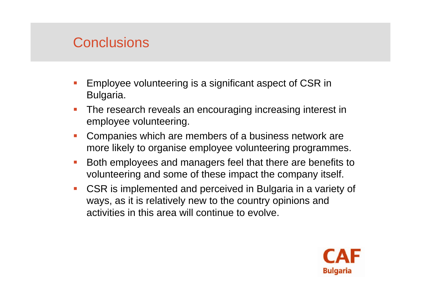## **Conclusions**

- F Employee volunteering is a significant aspect of CSR in Bulgaria.
- The research reveals an encouraging increasing interest in employee volunteering.
- Companies which are members of a business network are more likely to organise employee volunteering programmes.
- Both employees and managers feel that there are benefits to volunteering and some of these impact the company itself.
- CSR is implemented and perceived in Bulgaria in a variety of ways, as it is relatively new to the country opinions and activities in this area will continue to evolve.

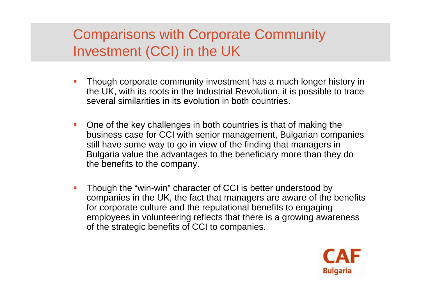# Comparisons with Corporate Community Investment (CCI) in the UK

- Though corporate community investment has a much longer history in the UK, with its roots in the Industrial Revolution, it is possible to trace several similarities in its evolution in both countries.
- One of the key challenges in both countries is that of making the business case for CCI with senior management, Bulgarian companies still have some way to go in view of the finding that managers in Bulgaria value the advantages to the beneficiary more than they do the benefits to the company.
- Though the "win-win" character of CCI is better understood by companies in the UK, the fact that managers are aware of the benefits for corporate culture and the reputational benefits to engaging employees in volunteering reflects that there is a growing awareness of the strategic benefits of CCI to companies.

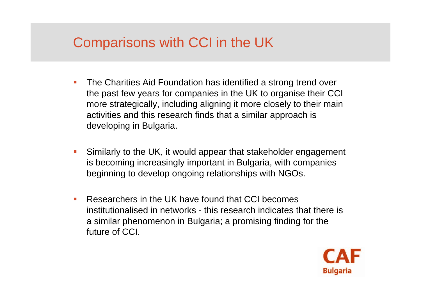# Comparisons with CCI in the UK

- П The Charities Aid Foundation has identified a strong trend over the past few years for companies in the UK to organise their CCI more strategically, including aligning it more closely to their main activities and this research finds that a similar approach is developing in Bulgaria.
- Similarly to the UK, it would appear that stakeholder engagement is becoming increasingly important in Bulgaria, with companies beginning to develop ongoing relationships with NGOs.
- Researchers in the UK have found that CCI becomes institutionalised in networks - this research indicates that there is a similar phenomenon in Bulgaria; a promising finding for the future of CCI.